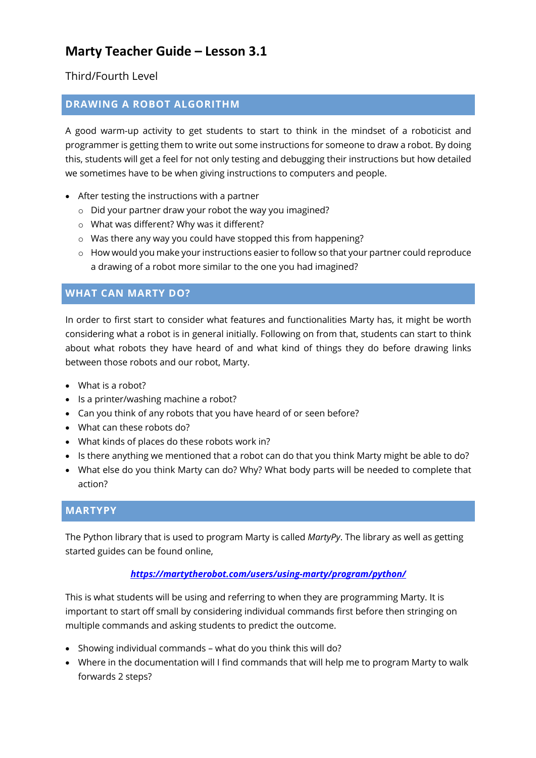Third/Fourth Level

### **DRAWING A ROBOT ALGORITHM**

A good warm-up activity to get students to start to think in the mindset of a roboticist and programmer is getting them to write out some instructions for someone to draw a robot. By doing this, students will get a feel for not only testing and debugging their instructions but how detailed we sometimes have to be when giving instructions to computers and people.

- After testing the instructions with a partner
	- o Did your partner draw your robot the way you imagined?
	- o What was different? Why was it different?
	- o Was there any way you could have stopped this from happening?
	- $\circ$  How would you make your instructions easier to follow so that your partner could reproduce a drawing of a robot more similar to the one you had imagined?

### **WHAT CAN MARTY DO?**

In order to first start to consider what features and functionalities Marty has, it might be worth considering what a robot is in general initially. Following on from that, students can start to think about what robots they have heard of and what kind of things they do before drawing links between those robots and our robot, Marty.

- What is a robot?
- Is a printer/washing machine a robot?
- Can you think of any robots that you have heard of or seen before?
- What can these robots do?
- What kinds of places do these robots work in?
- Is there anything we mentioned that a robot can do that you think Marty might be able to do?
- What else do you think Marty can do? Why? What body parts will be needed to complete that action?

#### **MARTYPY**

The Python library that is used to program Marty is called *MartyPy*. The library as well as getting started guides can be found online,

#### *https://martytherobot.com/users/using-marty/program/python/*

This is what students will be using and referring to when they are programming Marty. It is important to start off small by considering individual commands first before then stringing on multiple commands and asking students to predict the outcome.

- Showing individual commands what do you think this will do?
- Where in the documentation will I find commands that will help me to program Marty to walk forwards 2 steps?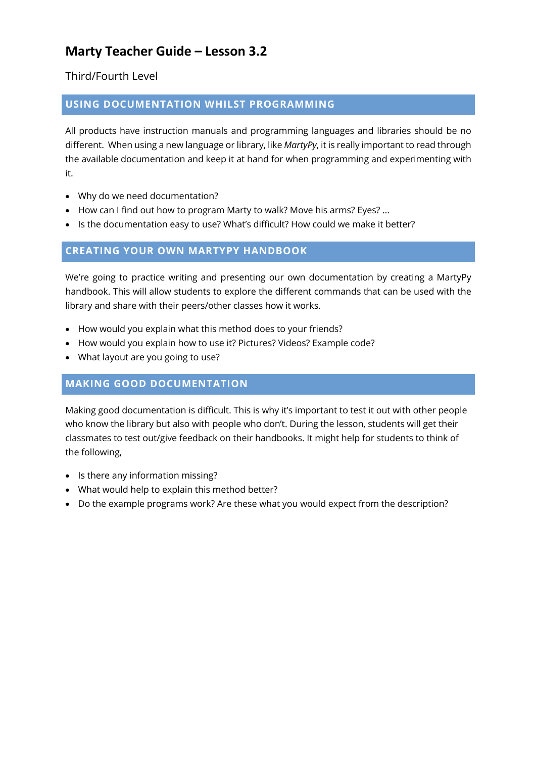Third/Fourth Level

### **USING DOCUMENTATION WHILST PROGRAMMING**

All products have instruction manuals and programming languages and libraries should be no different. When using a new language or library, like *MartyPy*, it is really important to read through the available documentation and keep it at hand for when programming and experimenting with it.

- Why do we need documentation?
- How can I find out how to program Marty to walk? Move his arms? Eyes? …
- Is the documentation easy to use? What's difficult? How could we make it better?

### **CREATING YOUR OWN MARTYPY HANDBOOK**

We're going to practice writing and presenting our own documentation by creating a MartyPy handbook. This will allow students to explore the different commands that can be used with the library and share with their peers/other classes how it works.

- How would you explain what this method does to your friends?
- How would you explain how to use it? Pictures? Videos? Example code?
- What layout are you going to use?

#### **MAKING GOOD DOCUMENTATION**

Making good documentation is difficult. This is why it's important to test it out with other people who know the library but also with people who don't. During the lesson, students will get their classmates to test out/give feedback on their handbooks. It might help for students to think of the following,

- Is there any information missing?
- What would help to explain this method better?
- Do the example programs work? Are these what you would expect from the description?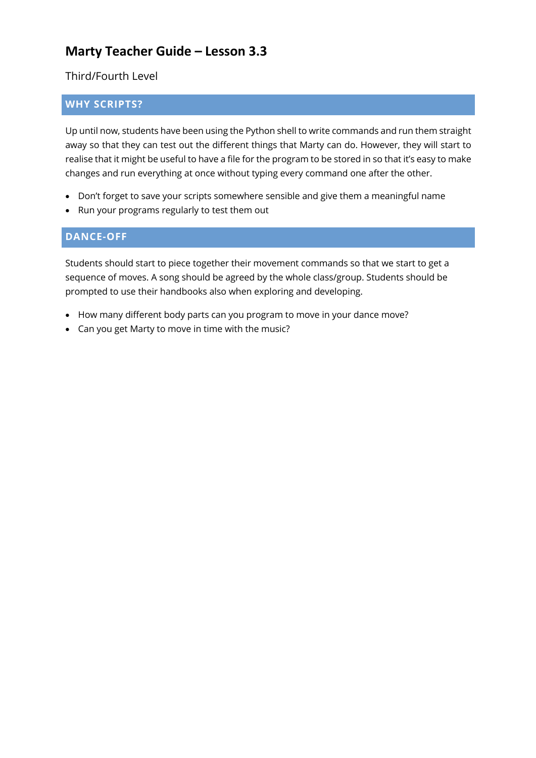Third/Fourth Level

## **WHY SCRIPTS?**

Up until now, students have been using the Python shell to write commands and run them straight away so that they can test out the different things that Marty can do. However, they will start to realise that it might be useful to have a file for the program to be stored in so that it's easy to make changes and run everything at once without typing every command one after the other.

- Don't forget to save your scripts somewhere sensible and give them a meaningful name
- Run your programs regularly to test them out

### **DANCE-OFF**

Students should start to piece together their movement commands so that we start to get a sequence of moves. A song should be agreed by the whole class/group. Students should be prompted to use their handbooks also when exploring and developing.

- How many different body parts can you program to move in your dance move?
- Can you get Marty to move in time with the music?